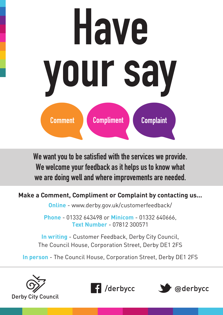

We want you to be satisfied with the services we provide. We welcome your feedback as it helps us to know what we are doing well and where improvements are needed.

# **Make a Comment, Compliment or Complaint by contacting us...**

**Online** - www.derby.gov.uk/customerfeedback/

**Phone** - 01332 643498 or **Minicom** - 01332 640666, **Text Number** - 07812 300571

**In writing** - Customer Feedback, Derby City Council, The Council House, Corporation Street, Derby DE1 2FS

**In person** - The Council House, Corporation Street, Derby DE1 2FS





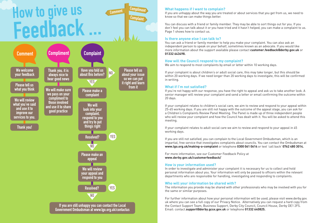Compliment **Comment** 

**Complaint** 



# How to give us Feedback ...

## **What happens if I want to complain?**

If you are unhappy about the way you are treated or about services that you get from us, we need to know so that we can make things better.

You can discuss with a friend or family member. They may be able to sort things out for you. If you don't feel you can talk about it or you have tried and it hasn't helped, you can make a complaint to us. Page 1 shows how to contact us.

### **Is there anyone else I can talk to?**

You can ask a friend or family member to help you make your complaint. You can also ask an independent person to speak on your behalf, sometimes known as an advocate. If you would like more information about the support available please contact **customer.feedback@derby.gov.uk** or **01332 643498.** 

#### **How will the Council respond to my complaint?**

We aim to respond to most complaints by email or letter within 10 working days.

If your complaint is about children's or adult social care, this may take longer, but this should be within 20 working days. If we need longer than 20 working days to investigate, this will be confirmed in writing.

#### **What if I'm not satisfied?**

If you're not happy with our response, you have the right to appeal and ask us to take another look. A senior manager will review your complaint and send a letter or email confirming the outcome within 20 days.

If your complaint relates to children's social care, we aim to review and respond to your appeal within 25-65 working days. If you are still not happy with the outcome of the appeal stage, you can ask for a Children's Complaints Review Panel Meeting. The Panel is made up of three independent people who will review your complaint and how the Council has dealt with it. You will be asked to attend this meeting.

If your complaint relates to adult social care we aim to review and respond to your appeal in 45 working days.

If you are still not satisfied, you can complain to the Local Government Ombudsman, which is an impartial, free service that investigates complaints about councils. You can contact the Ombudsman at **www.lgo.org.uk/making-a-complaint** or telephone **0300 061 0614** or text 'call back' **0762 480 3014.** 

For more information, see our Customer Feedback Policy at **www.derby.gov.uk/customerfeedback/** 

#### **How is your information used?**

In order to investigate and administer your complaint it is necessary for us to collect and hold personal information about you. Your information will only be passed to officers within the relevant departments who are responsible for handling, investigating and responding to complaints.

#### **Who will your information be shared with?**

The information you provide may be shared with other professionals who may be involved with you for the same or similar purposes.

For further information about how your personal information will be used, please visit www.derby.gov. uk where you can see a full copy of our Privacy Notice. Alternatively you can request a hard copy from the Contact Support Team, Business Support, Derby City Council, Council House, Derby DE1 2FS. Email: contact.**support@derby.gcsx.gov.uk** or telephone **01332 640825.**